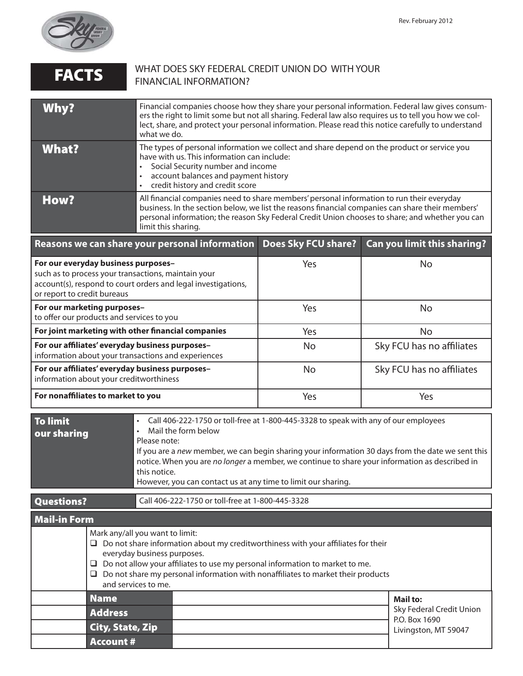

| <b>FACTS</b>                                                                                                                                                                                                                                                                                                                                                 | <b>FINANCIAL INFORMATION?</b>                                                                                                                                                                                                                                                                                                                                       | WHAT DOES SKY FEDERAL CREDIT UNION DO WITH YOUR                                                                                                                                                                                                                                                  |                                                                                                                                                                                                                                                                                                                |  |
|--------------------------------------------------------------------------------------------------------------------------------------------------------------------------------------------------------------------------------------------------------------------------------------------------------------------------------------------------------------|---------------------------------------------------------------------------------------------------------------------------------------------------------------------------------------------------------------------------------------------------------------------------------------------------------------------------------------------------------------------|--------------------------------------------------------------------------------------------------------------------------------------------------------------------------------------------------------------------------------------------------------------------------------------------------|----------------------------------------------------------------------------------------------------------------------------------------------------------------------------------------------------------------------------------------------------------------------------------------------------------------|--|
| Why?                                                                                                                                                                                                                                                                                                                                                         | what we do.                                                                                                                                                                                                                                                                                                                                                         |                                                                                                                                                                                                                                                                                                  | Financial companies choose how they share your personal information. Federal law gives consum-<br>ers the right to limit some but not all sharing. Federal law also requires us to tell you how we col-<br>lect, share, and protect your personal information. Please read this notice carefully to understand |  |
| <b>What?</b>                                                                                                                                                                                                                                                                                                                                                 | have with us. This information can include:<br>Social Security number and income<br>account balances and payment history<br>credit history and credit score                                                                                                                                                                                                         | The types of personal information we collect and share depend on the product or service you                                                                                                                                                                                                      |                                                                                                                                                                                                                                                                                                                |  |
| <b>How?</b>                                                                                                                                                                                                                                                                                                                                                  | limit this sharing.                                                                                                                                                                                                                                                                                                                                                 | All financial companies need to share members' personal information to run their everyday<br>business. In the section below, we list the reasons financial companies can share their members'<br>personal information; the reason Sky Federal Credit Union chooses to share; and whether you can |                                                                                                                                                                                                                                                                                                                |  |
|                                                                                                                                                                                                                                                                                                                                                              | Reasons we can share your personal information                                                                                                                                                                                                                                                                                                                      | <b>Does Sky FCU share?</b>                                                                                                                                                                                                                                                                       | Can you limit this sharing?                                                                                                                                                                                                                                                                                    |  |
| For our everyday business purposes-<br>such as to process your transactions, maintain your<br>account(s), respond to court orders and legal investigations,<br>or report to credit bureaus                                                                                                                                                                   |                                                                                                                                                                                                                                                                                                                                                                     | Yes                                                                                                                                                                                                                                                                                              | No                                                                                                                                                                                                                                                                                                             |  |
| For our marketing purposes-<br>to offer our products and services to you                                                                                                                                                                                                                                                                                     |                                                                                                                                                                                                                                                                                                                                                                     | Yes                                                                                                                                                                                                                                                                                              | <b>No</b>                                                                                                                                                                                                                                                                                                      |  |
| For joint marketing with other financial companies                                                                                                                                                                                                                                                                                                           |                                                                                                                                                                                                                                                                                                                                                                     | Yes                                                                                                                                                                                                                                                                                              | <b>No</b>                                                                                                                                                                                                                                                                                                      |  |
| For our affiliates' everyday business purposes-<br>information about your transactions and experiences                                                                                                                                                                                                                                                       |                                                                                                                                                                                                                                                                                                                                                                     | <b>No</b>                                                                                                                                                                                                                                                                                        | Sky FCU has no affiliates                                                                                                                                                                                                                                                                                      |  |
| For our affiliates' everyday business purposes-<br>information about your creditworthiness                                                                                                                                                                                                                                                                   |                                                                                                                                                                                                                                                                                                                                                                     | <b>No</b>                                                                                                                                                                                                                                                                                        | Sky FCU has no affiliates                                                                                                                                                                                                                                                                                      |  |
| For nonaffiliates to market to you                                                                                                                                                                                                                                                                                                                           |                                                                                                                                                                                                                                                                                                                                                                     | Yes                                                                                                                                                                                                                                                                                              | Yes                                                                                                                                                                                                                                                                                                            |  |
| <b>To limit</b><br>Call 406-222-1750 or toll-free at 1-800-445-3328 to speak with any of our employees<br>Mail the form below<br>$\bullet$<br>our sharing<br>Please note:<br>notice. When you are no longer a member, we continue to share your information as described in<br>this notice.<br>However, you can contact us at any time to limit our sharing. |                                                                                                                                                                                                                                                                                                                                                                     |                                                                                                                                                                                                                                                                                                  | If you are a new member, we can begin sharing your information 30 days from the date we sent this                                                                                                                                                                                                              |  |
| <b>Questions?</b>                                                                                                                                                                                                                                                                                                                                            | Call 406-222-1750 or toll-free at 1-800-445-3328                                                                                                                                                                                                                                                                                                                    |                                                                                                                                                                                                                                                                                                  |                                                                                                                                                                                                                                                                                                                |  |
| <b>Mail-in Form</b>                                                                                                                                                                                                                                                                                                                                          |                                                                                                                                                                                                                                                                                                                                                                     |                                                                                                                                                                                                                                                                                                  |                                                                                                                                                                                                                                                                                                                |  |
|                                                                                                                                                                                                                                                                                                                                                              | Mark any/all you want to limit:<br>$\Box$ Do not share information about my creditworthiness with your affiliates for their<br>everyday business purposes.<br>$\Box$ Do not allow your affiliates to use my personal information to market to me.<br>$\Box$ Do not share my personal information with nonaffiliates to market their products<br>and services to me. |                                                                                                                                                                                                                                                                                                  |                                                                                                                                                                                                                                                                                                                |  |
|                                                                                                                                                                                                                                                                                                                                                              | <b>Name</b><br><b>Address</b><br><b>City, State, Zip</b><br><b>Account #</b>                                                                                                                                                                                                                                                                                        |                                                                                                                                                                                                                                                                                                  | <b>Mail to:</b><br>Sky Federal Credit Union<br>P.O. Box 1690<br>Livingston, MT 59047                                                                                                                                                                                                                           |  |